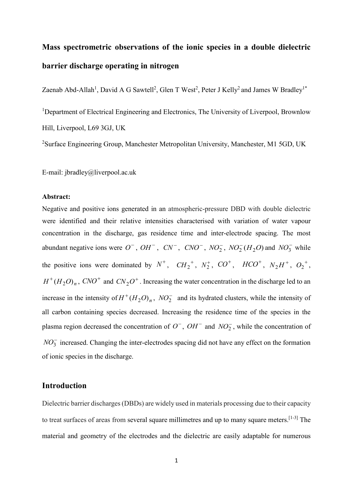# **Mass spectrometric observations of the ionic species in a double dielectric barrier discharge operating in nitrogen**

Zaenab Abd-Allah<sup>1</sup>, David A G Sawtell<sup>2</sup>, Glen T West<sup>2</sup>, Peter J Kelly<sup>2</sup> and James W Bradley<sup>1\*</sup>

<sup>1</sup>Department of Electrical Engineering and Electronics, The University of Liverpool, Brownlow Hill, Liverpool, L69 3GJ, UK

<sup>2</sup>Surface Engineering Group, Manchester Metropolitan University, Manchester, M1 5GD, UK

E-mail: jbradley@liverpool.ac.uk

#### **Abstract:**

Negative and positive ions generated in an atmospheric-pressure DBD with double dielectric were identified and their relative intensities characterised with variation of water vapour concentration in the discharge, gas residence time and inter-electrode spacing. The most abundant negative ions were  $O^-$ ,  $OH^-$ ,  $CN^-$ ,  $CNO^-$ ,  $NO_2^-$ ,  $NO_2^ (H_2O)$  and  $NO_3^-$  while the positive ions were dominated by  $N^+$ ,  $CH_2^+$ ,  $N_2^+$ ,  $CO^+$ ,  $HCO^+$ ,  $N_2H^+$ ,  $O_2^+$ ,  $H^+(H_2O)_n$ ,  $CNO^+$  and  $CN_2O^+$ . Increasing the water concentration in the discharge led to an increase in the intensity of  $H^+(H_2O)_n$ ,  $NO_2^-$  and its hydrated clusters, while the intensity of all carbon containing species decreased. Increasing the residence time of the species in the plasma region decreased the concentration of  $O^-$ ,  $OH^-$  and  $NO_2^-$ , while the concentration of  $NO<sub>3</sub><sup>-</sup>$  increased. Changing the inter-electrodes spacing did not have any effect on the formation of ionic species in the discharge.

# **Introduction**

Dielectric barrier discharges(DBDs) are widely used in materials processing due to their capacity to treat surfaces of areas from several square millimetres and up to many square meters.  $[1-3]$  The material and geometry of the electrodes and the dielectric are easily adaptable for numerous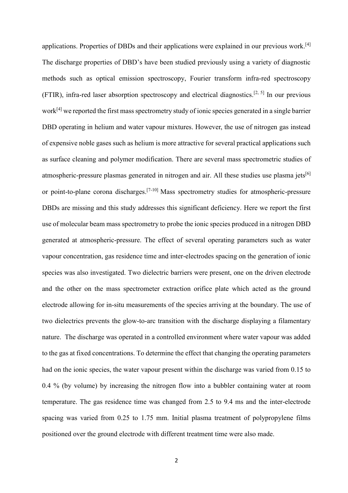applications. Properties of DBDs and their applications were explained in our previous work.<sup>[4]</sup> The discharge properties of DBD's have been studied previously using a variety of diagnostic methods such as optical emission spectroscopy, Fourier transform infra-red spectroscopy (FTIR), infra-red laser absorption spectroscopy and electrical diagnostics. [2, 5] In our previous work[4] we reported the first mass spectrometry study of ionic species generated in a single barrier DBD operating in helium and water vapour mixtures. However, the use of nitrogen gas instead of expensive noble gases such as helium is more attractive for several practical applications such as surface cleaning and polymer modification. There are several mass spectrometric studies of atmospheric-pressure plasmas generated in nitrogen and air. All these studies use plasma jets<sup>[6]</sup> or point-to-plane corona discharges.<sup>[7-10]</sup> Mass spectrometry studies for atmospheric-pressure DBDs are missing and this study addresses this significant deficiency. Here we report the first use of molecular beam mass spectrometry to probe the ionic species produced in a nitrogen DBD generated at atmospheric-pressure. The effect of several operating parameters such as water vapour concentration, gas residence time and inter-electrodes spacing on the generation of ionic species was also investigated. Two dielectric barriers were present, one on the driven electrode and the other on the mass spectrometer extraction orifice plate which acted as the ground electrode allowing for in-situ measurements of the species arriving at the boundary. The use of two dielectrics prevents the glow-to-arc transition with the discharge displaying a filamentary nature. The discharge was operated in a controlled environment where water vapour was added to the gas at fixed concentrations. To determine the effect that changing the operating parameters had on the ionic species, the water vapour present within the discharge was varied from 0.15 to 0.4 % (by volume) by increasing the nitrogen flow into a bubbler containing water at room temperature. The gas residence time was changed from 2.5 to 9.4 ms and the inter-electrode spacing was varied from 0.25 to 1.75 mm. Initial plasma treatment of polypropylene films positioned over the ground electrode with different treatment time were also made.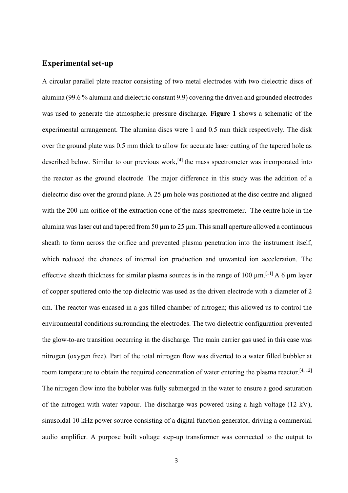# **Experimental set-up**

A circular parallel plate reactor consisting of two metal electrodes with two dielectric discs of alumina (99.6 % alumina and dielectric constant 9.9) covering the driven and grounded electrodes was used to generate the atmospheric pressure discharge. **Figure 1** shows a schematic of the experimental arrangement. The alumina discs were 1 and 0.5 mm thick respectively. The disk over the ground plate was 0.5 mm thick to allow for accurate laser cutting of the tapered hole as described below. Similar to our previous work,<sup>[4]</sup> the mass spectrometer was incorporated into the reactor as the ground electrode. The major difference in this study was the addition of a dielectric disc over the ground plane. A 25  $\mu$ m hole was positioned at the disc centre and aligned with the 200 µm orifice of the extraction cone of the mass spectrometer. The centre hole in the alumina was laser cut and tapered from 50  $\mu$ m to 25  $\mu$ m. This small aperture allowed a continuous sheath to form across the orifice and prevented plasma penetration into the instrument itself, which reduced the chances of internal ion production and unwanted ion acceleration. The effective sheath thickness for similar plasma sources is in the range of 100  $\mu$ m.<sup>[11]</sup> A 6  $\mu$ m layer of copper sputtered onto the top dielectric was used as the driven electrode with a diameter of 2 cm. The reactor was encased in a gas filled chamber of nitrogen; this allowed us to control the environmental conditions surrounding the electrodes. The two dielectric configuration prevented the glow-to-arc transition occurring in the discharge. The main carrier gas used in this case was nitrogen (oxygen free). Part of the total nitrogen flow was diverted to a water filled bubbler at room temperature to obtain the required concentration of water entering the plasma reactor.<sup>[4, 12]</sup> The nitrogen flow into the bubbler was fully submerged in the water to ensure a good saturation of the nitrogen with water vapour. The discharge was powered using a high voltage (12 kV), sinusoidal 10 kHz power source consisting of a digital function generator, driving a commercial audio amplifier. A purpose built voltage step-up transformer was connected to the output to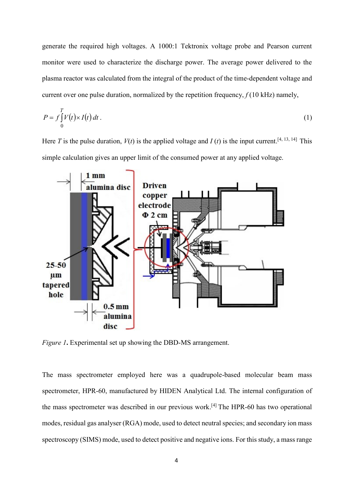generate the required high voltages. A 1000:1 Tektronix voltage probe and Pearson current monitor were used to characterize the discharge power. The average power delivered to the plasma reactor was calculated from the integral of the product of the time-dependent voltage and current over one pulse duration, normalized by the repetition frequency,  $f(10 \text{ kHz})$  namely,

$$
P = f \int_{0}^{T} V(t) \times I(t) dt.
$$
 (1)

Here *T* is the pulse duration,  $V(t)$  is the applied voltage and *I* (*t*) is the input current.<sup>[4, 13, 14]</sup> This simple calculation gives an upper limit of the consumed power at any applied voltage.



*Figure 1***.** Experimental set up showing the DBD-MS arrangement.

The mass spectrometer employed here was a quadrupole-based molecular beam mass spectrometer, HPR-60, manufactured by HIDEN Analytical Ltd. The internal configuration of the mass spectrometer was described in our previous work.<sup>[4]</sup> The HPR-60 has two operational modes, residual gas analyser (RGA) mode, used to detect neutral species; and secondary ion mass spectroscopy (SIMS) mode, used to detect positive and negative ions. For this study, a mass range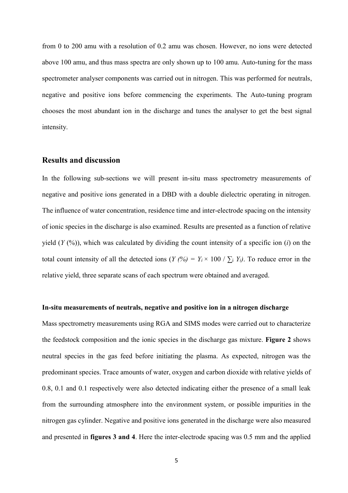from 0 to 200 amu with a resolution of 0.2 amu was chosen. However, no ions were detected above 100 amu, and thus mass spectra are only shown up to 100 amu. Auto-tuning for the mass spectrometer analyser components was carried out in nitrogen. This was performed for neutrals, negative and positive ions before commencing the experiments. The Auto-tuning program chooses the most abundant ion in the discharge and tunes the analyser to get the best signal intensity.

## **Results and discussion**

In the following sub-sections we will present in-situ mass spectrometry measurements of negative and positive ions generated in a DBD with a double dielectric operating in nitrogen. The influence of water concentration, residence time and inter-electrode spacing on the intensity of ionic species in the discharge is also examined. Results are presented as a function of relative yield  $(Y(\%))$ , which was calculated by dividing the count intensity of a specific ion (*i*) on the total count intensity of all the detected ions (*Y* (%) =  $Y_i \times 100 / \sum_i Y_i$ ). To reduce error in the relative yield, three separate scans of each spectrum were obtained and averaged.

## **In-situ measurements of neutrals, negative and positive ion in a nitrogen discharge**

Mass spectrometry measurements using RGA and SIMS modes were carried out to characterize the feedstock composition and the ionic species in the discharge gas mixture. **Figure 2** shows neutral species in the gas feed before initiating the plasma. As expected, nitrogen was the predominant species. Trace amounts of water, oxygen and carbon dioxide with relative yields of 0.8, 0.1 and 0.1 respectively were also detected indicating either the presence of a small leak from the surrounding atmosphere into the environment system, or possible impurities in the nitrogen gas cylinder. Negative and positive ions generated in the discharge were also measured and presented in **figures 3 and 4**. Here the inter-electrode spacing was 0.5 mm and the applied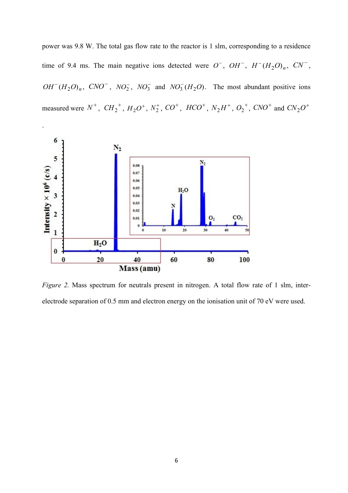power was 9.8 W. The total gas flow rate to the reactor is 1 slm, corresponding to a residence time of 9.4 ms. The main negative ions detected were  $O^-$ ,  $OH^-$ ,  $H^-(H_2O)_n$ ,  $CN^-$ ,  $OH^{-}(H_2O)_n$ ,  $CNO^{-}$ ,  $NO_2^{-}$ ,  $NO_3^{-}$  and  $NO_3^{-}(H_2O)$ . The most abundant positive ions measured were  $N^+$ ,  $CH_2^+$ ,  $H_2O^+$ ,  $N_2^+$ ,  $CO^+$ ,  $HCO^+$ ,  $N_2H^+$ ,  $O_2^+$ ,  $CNO^+$  and  $CN_2O^+$ 



.

*Figure 2.* Mass spectrum for neutrals present in nitrogen. A total flow rate of 1 slm, interelectrode separation of 0.5 mm and electron energy on the ionisation unit of 70 eV were used.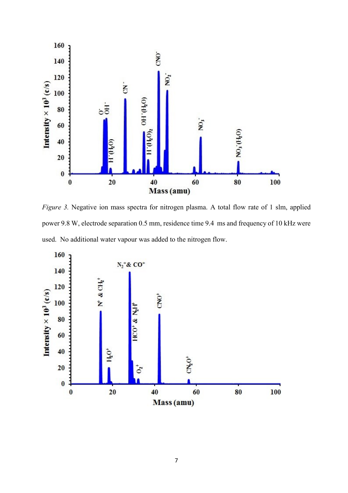

*Figure 3.* Negative ion mass spectra for nitrogen plasma. A total flow rate of 1 slm, applied power 9.8 W, electrode separation 0.5 mm, residence time 9.4 ms and frequency of 10 kHz were used. No additional water vapour was added to the nitrogen flow.

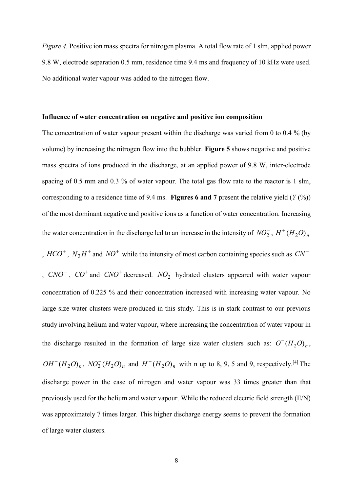*Figure 4.* Positive ion mass spectra for nitrogen plasma. A total flow rate of 1 slm, applied power 9.8 W, electrode separation 0.5 mm, residence time 9.4 ms and frequency of 10 kHz were used. No additional water vapour was added to the nitrogen flow.

#### **Influence of water concentration on negative and positive ion composition**

The concentration of water vapour present within the discharge was varied from 0 to 0.4 % (by volume) by increasing the nitrogen flow into the bubbler. **Figure 5** shows negative and positive mass spectra of ions produced in the discharge, at an applied power of 9.8 W, inter-electrode spacing of 0.5 mm and 0.3 % of water vapour. The total gas flow rate to the reactor is 1 slm, corresponding to a residence time of 9.4 ms. **Figures 6 and 7** present the relative yield (*Y* (%)) of the most dominant negative and positive ions as a function of water concentration. Increasing the water concentration in the discharge led to an increase in the intensity of  $NO_2^-$ ,  $H^+(H_2O)_n$ 

,  $HCO^+$ ,  $N_2H^+$  and  $NO^+$  while the intensity of most carbon containing species such as  $CN^-$ 

,  $CNO^{-}$ ,  $CO^{+}$  and  $CNO^{+}$  decreased.  $NO_{2}^{-}$  hydrated clusters appeared with water vapour concentration of 0.225 % and their concentration increased with increasing water vapour. No large size water clusters were produced in this study. This is in stark contrast to our previous study involving helium and water vapour, where increasing the concentration of water vapour in the discharge resulted in the formation of large size water clusters such as:  $O^-(H_2O)_n$ ,  $OH^{-}(H_2O)_n$ ,  $NO_2^{-}(H_2O)_n$  and  $H^{+}(H_2O)_n$  with n up to 8, 9, 5 and 9, respectively.<sup>[4]</sup> The discharge power in the case of nitrogen and water vapour was 33 times greater than that previously used for the helium and water vapour. While the reduced electric field strength (E/N) was approximately 7 times larger. This higher discharge energy seems to prevent the formation of large water clusters.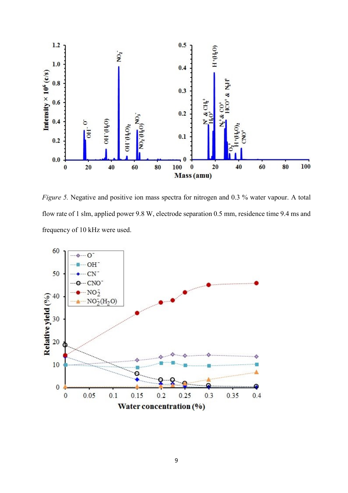

*Figure 5.* Negative and positive ion mass spectra for nitrogen and 0.3 % water vapour. A total flow rate of 1 slm, applied power 9.8 W, electrode separation 0.5 mm, residence time 9.4 ms and frequency of 10 kHz were used.

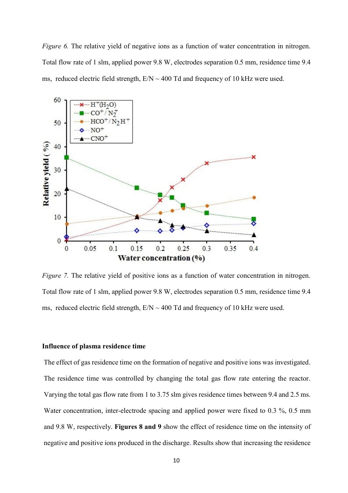*Figure 6.* The relative yield of negative ions as a function of water concentration in nitrogen. Total flow rate of 1 slm, applied power 9.8 W, electrodes separation 0.5 mm, residence time 9.4 ms, reduced electric field strength,  $E/N \sim 400$  Td and frequency of 10 kHz were used.



*Figure 7.* The relative yield of positive ions as a function of water concentration in nitrogen. Total flow rate of 1 slm, applied power 9.8 W, electrodes separation 0.5 mm, residence time 9.4 ms, reduced electric field strength,  $E/N \sim 400$  Td and frequency of 10 kHz were used.

## **Influence of plasma residence time**

The effect of gas residence time on the formation of negative and positive ions was investigated. The residence time was controlled by changing the total gas flow rate entering the reactor. Varying the total gas flow rate from 1 to 3.75 slm gives residence times between 9.4 and 2.5 ms. Water concentration, inter-electrode spacing and applied power were fixed to 0.3 %, 0.5 mm and 9.8 W, respectively. **Figures 8 and 9** show the effect of residence time on the intensity of negative and positive ions produced in the discharge. Results show that increasing the residence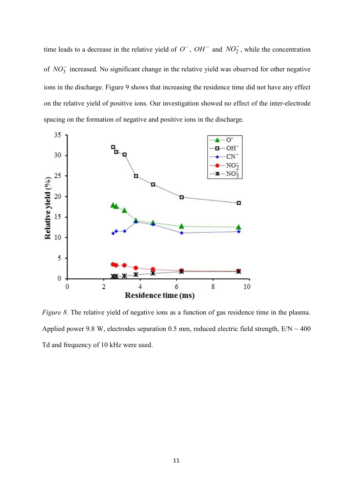time leads to a decrease in the relative yield of  $O^-$ ,  $OH^-$  and  $NO_2^-$ , while the concentration of  $NO<sub>3</sub>$  increased. No significant change in the relative yield was observed for other negative ions in the discharge. Figure 9 shows that increasing the residence time did not have any effect on the relative yield of positive ions. Our investigation showed no effect of the inter-electrode spacing on the formation of negative and positive ions in the discharge.



*Figure 8.* The relative yield of negative ions as a function of gas residence time in the plasma. Applied power 9.8 W, electrodes separation 0.5 mm, reduced electric field strength,  $E/N \sim 400$ Td and frequency of 10 kHz were used.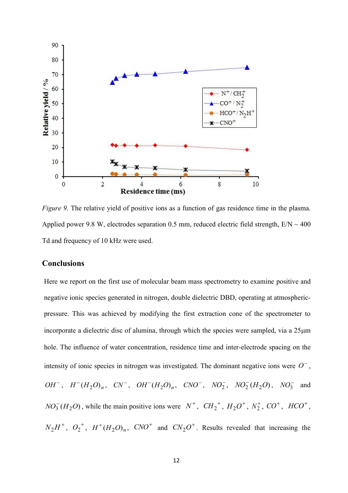

*Figure 9.* The relative yield of positive ions as a function of gas residence time in the plasma. Applied power 9.8 W, electrodes separation 0.5 mm, reduced electric field strength,  $E/N \sim 400$ Td and frequency of 10 kHz were used.

# **Conclusions**

Here we report on the first use of molecular beam mass spectrometry to examine positive and negative ionic species generated in nitrogen, double dielectric DBD, operating at atmosphericpressure. This was achieved by modifying the first extraction cone of the spectrometer to incorporate a dielectric disc of alumina, through which the species were sampled, via a  $25\mu m$ hole. The influence of water concentration, residence time and inter-electrode spacing on the intensity of ionic species in nitrogen was investigated. The dominant negative ions were  $O^-$ ,  $OH^{-}$ ,  $H^{-}(H_2O)_n$ ,  $CN^{-}$ ,  $OH^{-}(H_2O)_n$ ,  $CNO^{-}$ ,  $NO_2^{-}$ ,  $NO_2^{-}(H_2O)$ ,  $NO_3^{-}$  and  $NO_3^- (H_2O)$ , while the main positive ions were  $N^+$ ,  $CH_2^+$ ,  $H_2O^+$ ,  $N_2^+$ ,  $CO^+$ ,  $HCO^+$ ,  $N_2H^+$ ,  $O_2^+$ ,  $H^+(H_2O)_n$ ,  $CNO^+$  and  $CN_2O^+$ . Results revealed that increasing the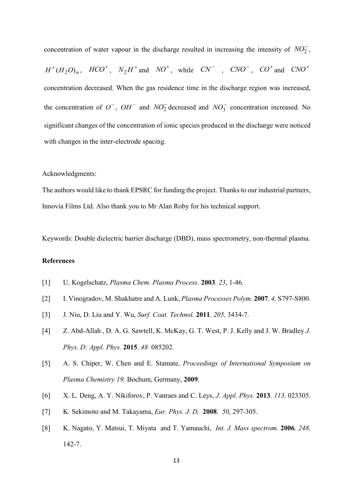concentration of water vapour in the discharge resulted in increasing the intensity of  $NO<sub>2</sub>$ ,

 $H^+(H_2O)_n$ ,  $HCO^+$ ,  $N_2H^+$  and  $NO^+$ , while  $CN^-$  ,  $CNO^-$ ,  $CO^+$  and  $CNO^+$ concentration decreased. When the gas residence time in the discharge region was increased, the concentration of  $O^-$ ,  $OH^-$  and  $NO_2^-$  decreased and  $NO_3^-$  concentration increased. No significant changes of the concentration of ionic species produced in the discharge were noticed with changes in the inter-electrode spacing.

## Acknowledgments:

The authors would like to thank EPSRC for funding the project. Thanks to our industrial partners, Innovia Films Ltd. Also thank you to Mr Alan Roby for his technical support.

Keywords: Double dielectric barrier discharge (DBD), mass spectrometry, non-thermal plasma.

# **References**

- [1] U. Kogelschatz, *Plasma Chem. Plasma Process.* **2003***. 23*, 1-46.
- [2] I. Vinogradov, M. Shakhatre and A. Lunk, *Plasma Processes Polym.* **2007**. *4,* S797-S800.
- [3] J. Niu, D. Liu and Y. Wu, *Surf. Coat. Technol.* **2011**. *205,* 3434-7.
- [4] Z. Abd-Allah , D. A. G. Sawtell, K. McKay, G. T. West, P. J. Kelly and J. W. Bradley *J. Phys. D: Appl. Phys.* **2015**. *48* 085202.
- [5] A. S. Chiper, W. Chen and E. Stamate, *Proceedings of International Symposium on Plasma Chemistry 19,* Bochum, Germany, **2009**.
- [6] X. L. Deng, A. Y. Nikiforov, P. Vanraes and C. Leys, *J. Appl. Phys.* **2013**. *113,* 023305.
- [7] K. Sekimoto and M. Takayama, *Eur. Phys. J. D,* **2008**. *50*, 297-305.
- [8] K. Nagato, Y. Matsui, T. Miyata and T. Yamauchi, *Int. J. Mass spectrom.* **2006***, 248,* 142-7.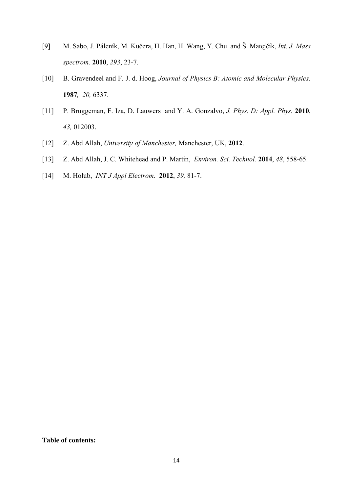- [9] M. Sabo, J. Páleník, M. Kučera, H. Han, H. Wang, Y. Chu and Š. Matejčík, *Int. J. Mass spectrom.* **2010**, *293*, 23-7.
- [10] B. Gravendeel and F. J. d. Hoog, *Journal of Physics B: Atomic and Molecular Physics.* **1987***, 20,* 6337.
- [11] P. Bruggeman, F. Iza, D. Lauwers and Y. A. Gonzalvo, *J. Phys. D: Appl. Phys.* **2010**, *43,* 012003.
- [12] Z. Abd Allah, *University of Manchester,* Manchester, UK, **2012**.
- [13] Z. Abd Allah, J. C. Whitehead and P. Martin, *Environ. Sci. Technol.* **2014**, *48*, 558-65.
- [14] M. Hołub, *INT J Appl Electrom.* **2012**, *39,* 81-7.

## **Table of contents:**